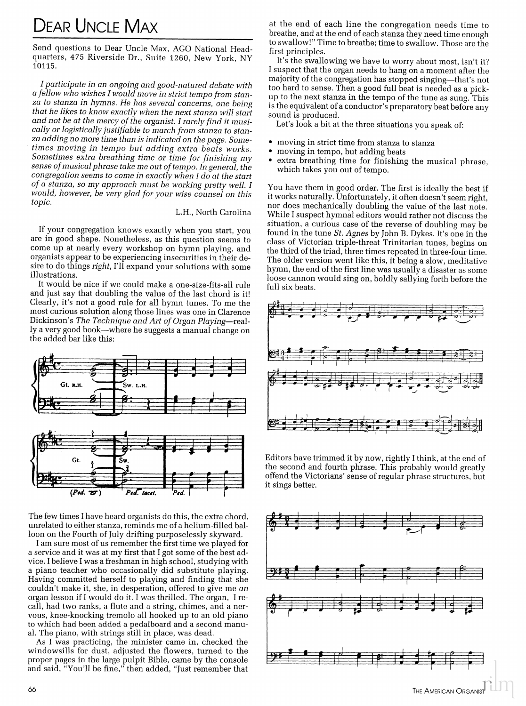## **DEAR UNCLE MAX**

Send questions to Dear Uncle Max, AGO National Headquarters, 475 Riverside Dr., Suite 1260, New York, NY 10115.

I participate in an ongoing and good-natured debate with a fellow who wishes I would move in strict tempo from stanza to stanza in hymns. He has several concerns, one being that he likes to know exactly when the next stanza will start and not be at the mercy of the organist. I rarely find it musically or logistically justifiable to march from stanza to stanza adding no more time than is indicated on the page. Sometimes moving in tempo but adding extra beats works. Sometimes extra breathing time or time for finishing my sense of musical phrase take me out of tempo. In general, the congregation seems to come in exactly when I do at the start of a stanza, so my approach must be working pretty well. I would, however, be very glad for your wise counsel on this *topic* 

## L.H., North Carolina

If your congregation knows exactly when you start, you are in good shape. Nonetheless, as this question seems to come up at nearly every workshop on hymn playing, and organists appear to be experiencing insecurities in their desire to do things right, I'll expand your solutions with some illustrations.

It would be nice if we could make a one-size-fits-all rule and just say that doubling the value of the last chord is it! Clearly, it's not a good rule for all hymn tunes. To me the most curious solution along those lines was one in Clarence Dickinson's The Technique and Art of Organ Playing-really a very good book-where he suggests a manual change on the added bar like this:



The few times I have heard organists do this, the extra chord, unrelated to either stanza, reminds me of a helium-filled balloon on the Fourth of July drifting purposelessly skyward.

I am sure most of us remember the first time we played for a service and it was at my first that I got some of the best advice. I believe I was a freshman in high school, studying with a piano teacher who occasionally did substitute playing. Having committed herself to playing and finding that she couldn't make it, she, in desperation, offered to give me an organ lesson if I would do it. I was thrilled. The organ, I recall, had two ranks, a flute and a string, chimes, and a nervous, knee-knocking tremolo all hooked up to an old piano to which had been added a pedalboard and a second manual. The piano, with strings still in place, was dead.

As I was practicing, the minister came in, checked the windowsills for dust, adjusted the flowers, turned to the proper pages in the large pulpit Bible, came by the console<br>and said, "You'll be fine," then added, "Just remember that at the end of each line the congregation needs time to breathe, and at the end of each stanza they need time enough to swallow!" Time to breathe; time to swallow. Those are the first principles.

It's the swallowing we have to worry about most, isn't it? I suspect that the organ needs to hang on a moment after the majority of the congregation has stopped singing-that's not too hard to sense. Then a good full beat is needed as a pickup to the next stanza in the tempo of the tune as sung. This is the equivalent of a conductor's preparatory beat before any sound is produced.

Let's look a bit at the three situations you speak of:

- moving in strict time from stanza to stanza
- moving in tempo, but adding beats
- extra breathing time for finishing the musical phrase, which takes you out of tempo.

You have them in good order. The first is ideally the best if it works naturally. Unfortunately, it often doesn't seem right, nor does mechanically doubling the value of the last note. While I suspect hymnal editors would rather not discuss the situation, a curious case of the reverse of doubling may be found in the tune *St. Agnes* by John B. Dykes. It's one in the class of Victorian triple-threat Trinitarian tunes, begins on the third of the triad, three times repeated in three-four time. The older version went like this, it being a slow, meditative hymn, the end of the first line was usually a disaster as some loose cannon would sing on, boldly sallying forth before the full six beats.



Editors have trimmed it by now, rightly I think, at the end of the second and fourth phrase. This probably would greatly offend the Victorians' sense of regular phrase structures, but it sings better.